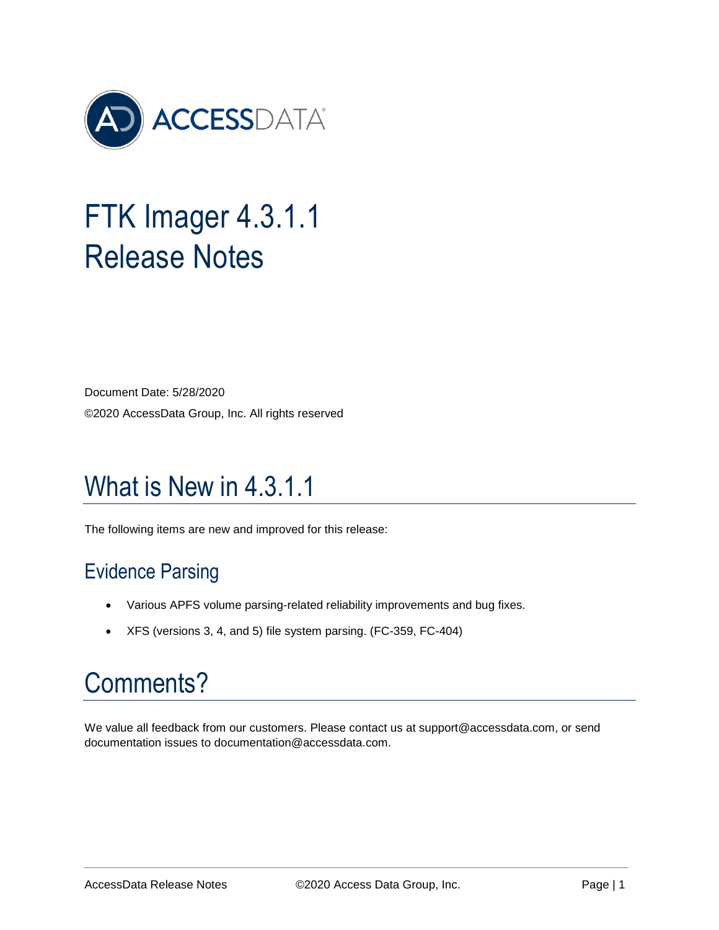

# FTK Imager 4.3.1.1 Release Notes

Document Date: 5/28/2020 ©2020 AccessData Group, Inc. All rights reserved

## What is New in 4.3.1.1

The following items are new and improved for this release:

#### Evidence Parsing

- Various APFS volume parsing-related reliability improvements and bug fixes.
- XFS (versions 3, 4, and 5) file system parsing. (FC-359, FC-404)

## Comments?

We value all feedback from our customers. Please contact us at support@accessdata.com, or send documentation issues to documentation@accessdata.com.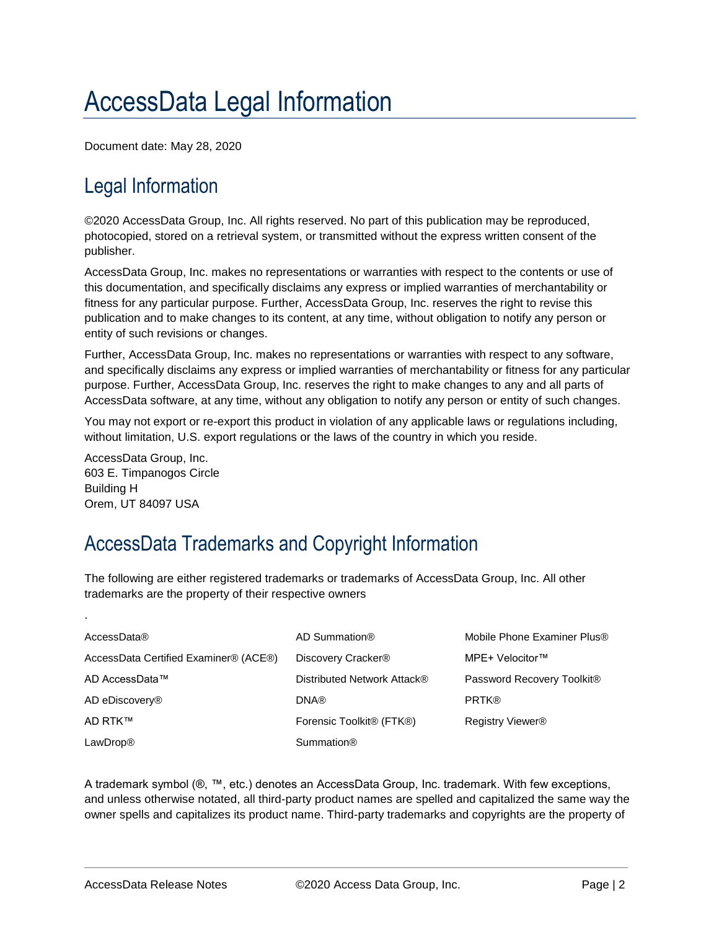### AccessData Legal Information

Document date: May 28, 2020

#### Legal Information

©2020 AccessData Group, Inc. All rights reserved. No part of this publication may be reproduced, photocopied, stored on a retrieval system, or transmitted without the express written consent of the publisher.

AccessData Group, Inc. makes no representations or warranties with respect to the contents or use of this documentation, and specifically disclaims any express or implied warranties of merchantability or fitness for any particular purpose. Further, AccessData Group, Inc. reserves the right to revise this publication and to make changes to its content, at any time, without obligation to notify any person or entity of such revisions or changes.

Further, AccessData Group, Inc. makes no representations or warranties with respect to any software, and specifically disclaims any express or implied warranties of merchantability or fitness for any particular purpose. Further, AccessData Group, Inc. reserves the right to make changes to any and all parts of AccessData software, at any time, without any obligation to notify any person or entity of such changes.

You may not export or re-export this product in violation of any applicable laws or regulations including, without limitation, U.S. export regulations or the laws of the country in which you reside.

AccessData Group, Inc. 603 E. Timpanogos Circle Building H Orem, UT 84097 USA

.

#### AccessData Trademarks and Copyright Information

The following are either registered trademarks or trademarks of AccessData Group, Inc. All other trademarks are the property of their respective owners

| AccessData®                           | AD Summation®                                     | Mobile Phone Examiner Plus®  |
|---------------------------------------|---------------------------------------------------|------------------------------|
| AccessData Certified Examiner® (ACE®) | Discovery Cracker <sup>®</sup>                    | MPE+ Velocitor™              |
| AD AccessData™                        | Distributed Network Attack®                       | Password Recovery Toolkit®   |
| AD eDiscovery <sup>®</sup>            | <b>DNA®</b>                                       | <b>PRTK®</b>                 |
| AD RTK™                               | Forensic Toolkit <sup>®</sup> (FTK <sup>®</sup> ) | Registry Viewer <sup>®</sup> |
| LawDrop®                              | Summation <sup>®</sup>                            |                              |

A trademark symbol (®, ™, etc.) denotes an AccessData Group, Inc. trademark. With few exceptions, and unless otherwise notated, all third-party product names are spelled and capitalized the same way the owner spells and capitalizes its product name. Third-party trademarks and copyrights are the property of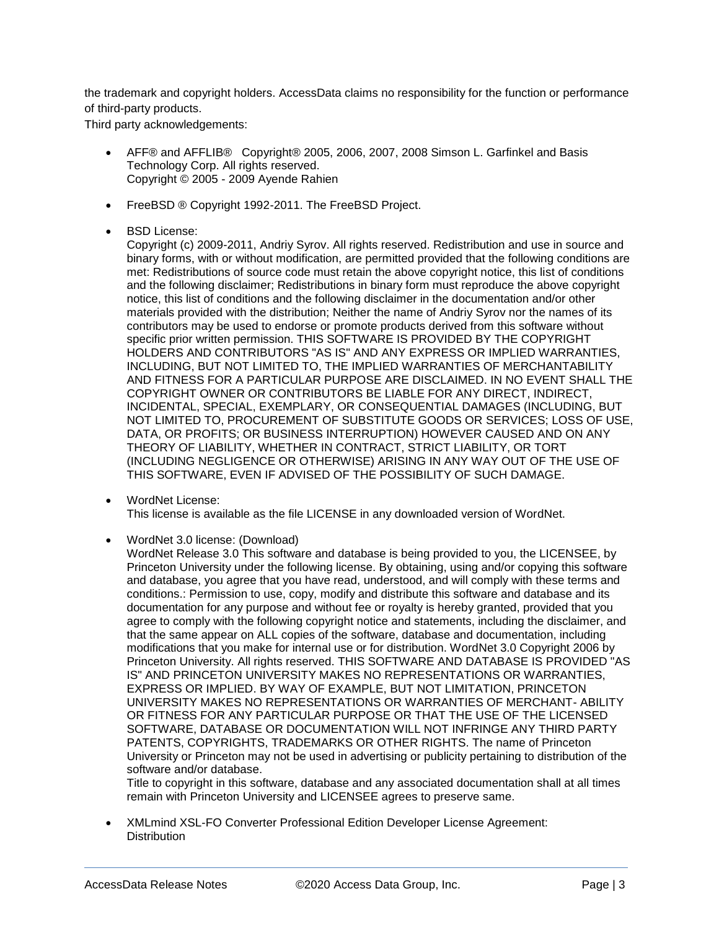the trademark and copyright holders. AccessData claims no responsibility for the function or performance of third-party products.

Third party acknowledgements:

- AFF® and AFFLIB® Copyright® 2005, 2006, 2007, 2008 Simson L. Garfinkel and Basis Technology Corp. All rights reserved. Copyright © 2005 - 2009 Ayende Rahien
- FreeBSD ® Copyright 1992-2011. The FreeBSD Project.
- BSD License:

Copyright (c) 2009-2011, Andriy Syrov. All rights reserved. Redistribution and use in source and binary forms, with or without modification, are permitted provided that the following conditions are met: Redistributions of source code must retain the above copyright notice, this list of conditions and the following disclaimer; Redistributions in binary form must reproduce the above copyright notice, this list of conditions and the following disclaimer in the documentation and/or other materials provided with the distribution; Neither the name of Andriy Syrov nor the names of its contributors may be used to endorse or promote products derived from this software without specific prior written permission. THIS SOFTWARE IS PROVIDED BY THE COPYRIGHT HOLDERS AND CONTRIBUTORS "AS IS" AND ANY EXPRESS OR IMPLIED WARRANTIES, INCLUDING, BUT NOT LIMITED TO, THE IMPLIED WARRANTIES OF MERCHANTABILITY AND FITNESS FOR A PARTICULAR PURPOSE ARE DISCLAIMED. IN NO EVENT SHALL THE COPYRIGHT OWNER OR CONTRIBUTORS BE LIABLE FOR ANY DIRECT, INDIRECT, INCIDENTAL, SPECIAL, EXEMPLARY, OR CONSEQUENTIAL DAMAGES (INCLUDING, BUT NOT LIMITED TO, PROCUREMENT OF SUBSTITUTE GOODS OR SERVICES; LOSS OF USE, DATA, OR PROFITS; OR BUSINESS INTERRUPTION) HOWEVER CAUSED AND ON ANY THEORY OF LIABILITY, WHETHER IN CONTRACT, STRICT LIABILITY, OR TORT (INCLUDING NEGLIGENCE OR OTHERWISE) ARISING IN ANY WAY OUT OF THE USE OF THIS SOFTWARE, EVEN IF ADVISED OF THE POSSIBILITY OF SUCH DAMAGE.

- WordNet License: This license is available as the file LICENSE in any downloaded version of WordNet.
- WordNet 3.0 license: (Download)

WordNet Release 3.0 This software and database is being provided to you, the LICENSEE, by Princeton University under the following license. By obtaining, using and/or copying this software and database, you agree that you have read, understood, and will comply with these terms and conditions.: Permission to use, copy, modify and distribute this software and database and its documentation for any purpose and without fee or royalty is hereby granted, provided that you agree to comply with the following copyright notice and statements, including the disclaimer, and that the same appear on ALL copies of the software, database and documentation, including modifications that you make for internal use or for distribution. WordNet 3.0 Copyright 2006 by Princeton University. All rights reserved. THIS SOFTWARE AND DATABASE IS PROVIDED "AS IS" AND PRINCETON UNIVERSITY MAKES NO REPRESENTATIONS OR WARRANTIES, EXPRESS OR IMPLIED. BY WAY OF EXAMPLE, BUT NOT LIMITATION, PRINCETON UNIVERSITY MAKES NO REPRESENTATIONS OR WARRANTIES OF MERCHANT- ABILITY OR FITNESS FOR ANY PARTICULAR PURPOSE OR THAT THE USE OF THE LICENSED SOFTWARE, DATABASE OR DOCUMENTATION WILL NOT INFRINGE ANY THIRD PARTY PATENTS, COPYRIGHTS, TRADEMARKS OR OTHER RIGHTS. The name of Princeton University or Princeton may not be used in advertising or publicity pertaining to distribution of the software and/or database.

Title to copyright in this software, database and any associated documentation shall at all times remain with Princeton University and LICENSEE agrees to preserve same.

 XMLmind XSL-FO Converter Professional Edition Developer License Agreement: **Distribution**